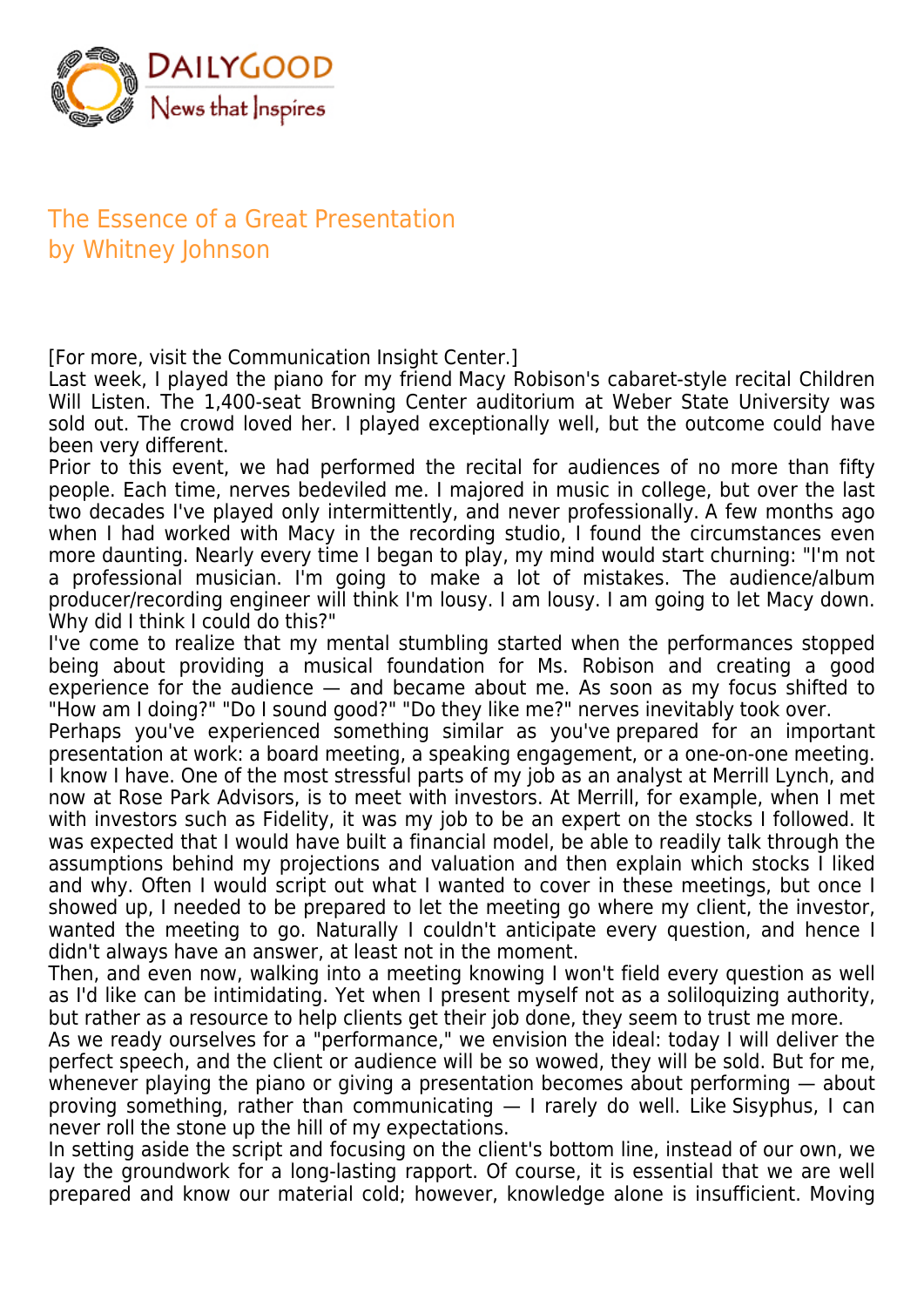

## The Essence of a Great Presentation by Whitney Johnson

[For more, visit the Communication Insight Center.]

Last week, I played the piano for my friend Macy Robison's cabaret-style recital Children Will Listen. The 1,400-seat Browning Center auditorium at Weber State University was sold out. The crowd loved her. I played exceptionally well, but the outcome could have been very different.

Prior to this event, we had performed the recital for audiences of no more than fifty people. Each time, nerves bedeviled me. I majored in music in college, but over the last two decades I've played only intermittently, and never professionally. A few months ago when I had worked with Macy in the recording studio, I found the circumstances even more daunting. Nearly every time I began to play, my mind would start churning: "I'm not a professional musician. I'm going to make a lot of mistakes. The audience/album producer/recording engineer will think I'm lousy. I am lousy. I am going to let Macy down. Why did I think I could do this?"

I've come to realize that my mental stumbling started when the performances stopped being about providing a musical foundation for Ms. Robison and creating a good experience for the audience — and became about me. As soon as my focus shifted to "How am I doing?" "Do I sound good?" "Do they like me?" nerves inevitably took over.

Perhaps you've experienced something similar as you've prepared for an important presentation at work: a board meeting, a speaking engagement, or a one-on-one meeting. I know I have. One of the most stressful parts of my job as an analyst at Merrill Lynch, and now at Rose Park Advisors, is to meet with investors. At Merrill, for example, when I met with investors such as Fidelity, it was my job to be an expert on the stocks I followed. It was expected that I would have built a financial model, be able to readily talk through the assumptions behind my projections and valuation and then explain which stocks I liked and why. Often I would script out what I wanted to cover in these meetings, but once I showed up, I needed to be prepared to let the meeting go where my client, the investor, wanted the meeting to go. Naturally I couldn't anticipate every question, and hence I didn't always have an answer, at least not in the moment.

Then, and even now, walking into a meeting knowing I won't field every question as well as I'd like can be intimidating. Yet when I present myself not as a soliloquizing authority, but rather as a resource to help clients get their job done, they seem to trust me more.

As we ready ourselves for a "performance," we envision the ideal: today I will deliver the perfect speech, and the client or audience will be so wowed, they will be sold. But for me, whenever playing the piano or giving a presentation becomes about performing — about proving something, rather than communicating — I rarely do well. Like Sisyphus, I can never roll the stone up the hill of my expectations.

In setting aside the script and focusing on the client's bottom line, instead of our own, we lay the groundwork for a long-lasting rapport. Of course, it is essential that we are well prepared and know our material cold; however, knowledge alone is insufficient. Moving